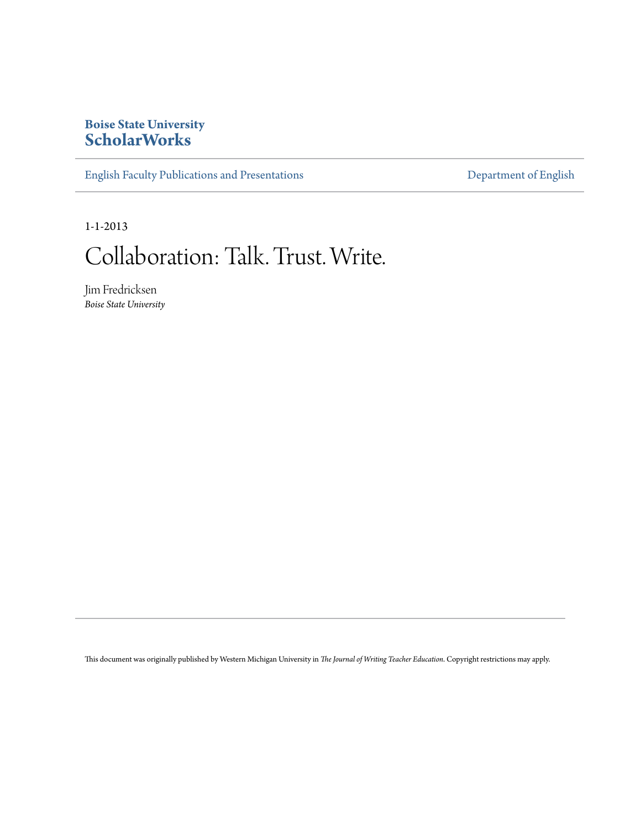### **Boise State University [ScholarWorks](https://scholarworks.boisestate.edu)**

[English Faculty Publications and Presentations](https://scholarworks.boisestate.edu/english_facpubs) **[Department of English](https://scholarworks.boisestate.edu/english)** 

1-1-2013

# Collaboration: Talk. Trust. Write.

Jim Fredricksen *Boise State University*

This document was originally published by Western Michigan University in *The Journal of Writing Teacher Education*. Copyright restrictions may apply.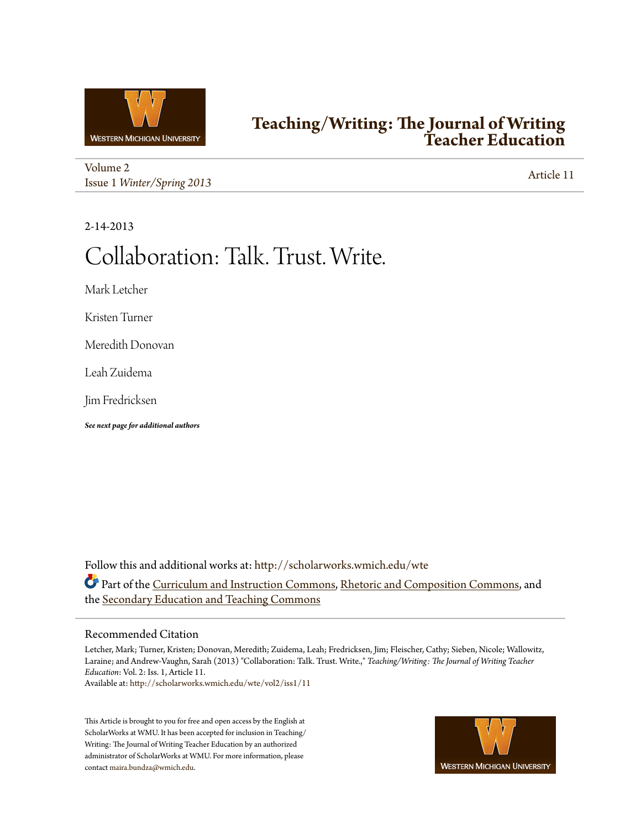

## **[Teaching/Writing: The Journal of Writing](http://scholarworks.wmich.edu/wte?utm_source=scholarworks.wmich.edu%2Fwte%2Fvol2%2Fiss1%2F11&utm_medium=PDF&utm_campaign=PDFCoverPages) [Teacher Education](http://scholarworks.wmich.edu/wte?utm_source=scholarworks.wmich.edu%2Fwte%2Fvol2%2Fiss1%2F11&utm_medium=PDF&utm_campaign=PDFCoverPages)**

[Volume 2](http://scholarworks.wmich.edu/wte/vol2?utm_source=scholarworks.wmich.edu%2Fwte%2Fvol2%2Fiss1%2F11&utm_medium=PDF&utm_campaign=PDFCoverPages) Issue 1 *[Winter/Spring 2013](http://scholarworks.wmich.edu/wte/vol2/iss1?utm_source=scholarworks.wmich.edu%2Fwte%2Fvol2%2Fiss1%2F11&utm_medium=PDF&utm_campaign=PDFCoverPages)* [Article 11](http://scholarworks.wmich.edu/wte/vol2/iss1/11?utm_source=scholarworks.wmich.edu%2Fwte%2Fvol2%2Fiss1%2F11&utm_medium=PDF&utm_campaign=PDFCoverPages)

2-14-2013

# Collaboration: Talk. Trust. Write.

Mark Letcher

Kristen Turner

Meredith Donovan

Leah Zuidema

Jim Fredricksen

*See next page for additional authors*

Follow this and additional works at: [http://scholarworks.wmich.edu/wte](http://scholarworks.wmich.edu/wte?utm_source=scholarworks.wmich.edu%2Fwte%2Fvol2%2Fiss1%2F11&utm_medium=PDF&utm_campaign=PDFCoverPages) Part of the [Curriculum and Instruction Commons](http://network.bepress.com/hgg/discipline/786?utm_source=scholarworks.wmich.edu%2Fwte%2Fvol2%2Fiss1%2F11&utm_medium=PDF&utm_campaign=PDFCoverPages), [Rhetoric and Composition Commons,](http://network.bepress.com/hgg/discipline/573?utm_source=scholarworks.wmich.edu%2Fwte%2Fvol2%2Fiss1%2F11&utm_medium=PDF&utm_campaign=PDFCoverPages) and the [Secondary Education and Teaching Commons](http://network.bepress.com/hgg/discipline/809?utm_source=scholarworks.wmich.edu%2Fwte%2Fvol2%2Fiss1%2F11&utm_medium=PDF&utm_campaign=PDFCoverPages)

#### Recommended Citation

Letcher, Mark; Turner, Kristen; Donovan, Meredith; Zuidema, Leah; Fredricksen, Jim; Fleischer, Cathy; Sieben, Nicole; Wallowitz, Laraine; and Andrew-Vaughn, Sarah (2013) "Collaboration: Talk. Trust. Write.," *Teaching/Writing: The Journal of Writing Teacher Education*: Vol. 2: Iss. 1, Article 11.

Available at: [http://scholarworks.wmich.edu/wte/vol2/iss1/11](http://scholarworks.wmich.edu/wte/vol2/iss1/11?utm_source=scholarworks.wmich.edu%2Fwte%2Fvol2%2Fiss1%2F11&utm_medium=PDF&utm_campaign=PDFCoverPages)

This Article is brought to you for free and open access by the English at ScholarWorks at WMU. It has been accepted for inclusion in Teaching/ Writing: The Journal of Writing Teacher Education by an authorized administrator of ScholarWorks at WMU. For more information, please contact [maira.bundza@wmich.edu](mailto:maira.bundza@wmich.edu).

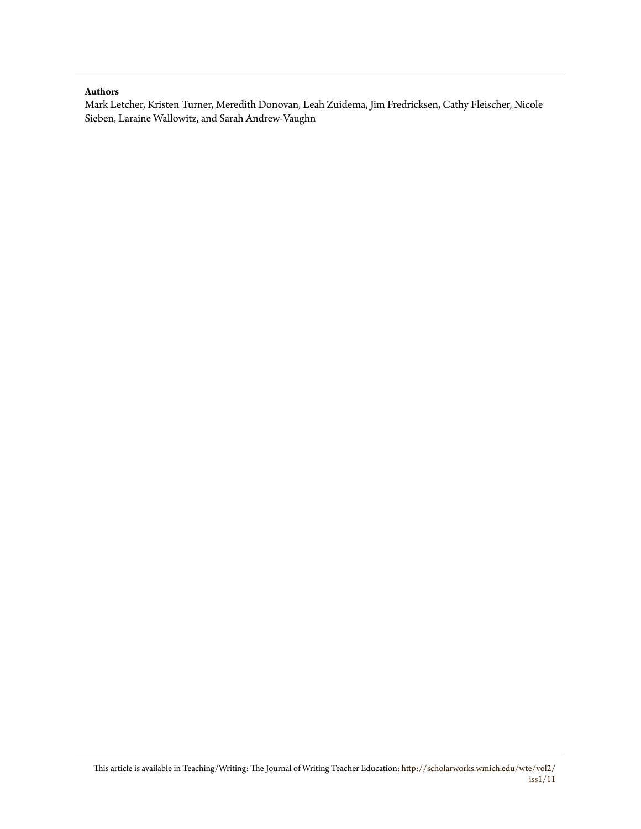#### **Authors**

Mark Letcher, Kristen Turner, Meredith Donovan, Leah Zuidema, Jim Fredricksen, Cathy Fleischer, Nicole Sieben, Laraine Wallowitz, and Sarah Andrew-Vaughn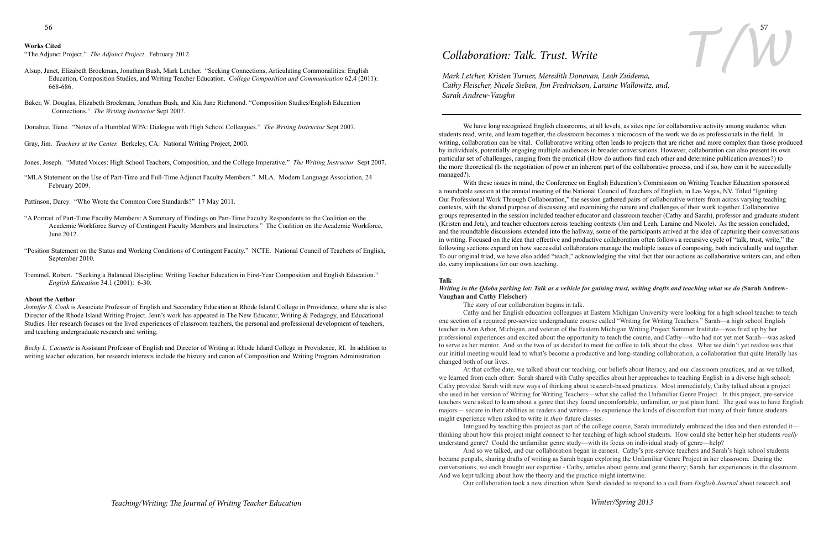#### **Works Cited**

"The Adjunct Project." *The Adjunct Project*. February 2012.

- Alsup, Janet, Elizabeth Brockman, Jonathan Bush, Mark Letcher. "Seeking Connections, Articulating Commonalities: English Education, Composition Studies, and Writing Teacher Education. *College Composition and Communication* 62.4 (2011): 668-686.
- Baker, W. Douglas, Elizabeth Brockman, Jonathan Bush, and Kia Jane Richmond. "Composition Studies/English Education Connections." *The Writing Instructor* Sept 2007.
- Donahue, Tiane. "Notes of a Humbled WPA: Dialogue with High School Colleagues." *The Writing Instructor* Sept 2007.
- Gray, Jim. *Teachers at the Center.* Berkeley, CA: National Writing Project, 2000.
- Jones, Joseph. "Muted Voices: High School Teachers, Composition, and the College Imperative." *The Writing Instructor* Sept 2007.
- "MLA Statement on the Use of Part-Time and Full-Time Adjunct Faculty Members." MLA. Modern Language Association, 24 February 2009.
- Pattinson, Darcy. "Who Wrote the Common Core Standards?" 17 May 2011.
- "A Portrait of Part-Time Faculty Members: A Summary of Findings on Part-Time Faculty Respondents to the Coalition on the Academic Workforce Survey of Contingent Faculty Members and Instructors." The Coalition on the Academic Workforce, June 2012.
- "Position Statement on the Status and Working Conditions of Contingent Faculty." NCTE. National Council of Teachers of English, September 2010.
- Tremmel, Robert. "Seeking a Balanced Discipline: Writing Teacher Education in First-Year Composition and English Education." *English Education* 34.1 (2001): 6-30.

#### **About the Author**

*Jennifer S. Cook* is Associate Professor of English and Secondary Education at Rhode Island College in Providence, where she is also Director of the Rhode Island Writing Project. Jenn's work has appeared in The New Educator, Writing & Pedagogy, and Educational Studies. Her research focuses on the lived experiences of classroom teachers, the personal and professional development of teachers, and teaching undergraduate research and writing.

*Becky L. Caouette* is Assistant Professor of English and Director of Writing at Rhode Island College in Providence, RI. In addition to writing teacher education, her research interests include the history and canon of Composition and Writing Program Administration.

## *Collaboration: Talk. Trust. Write*

*Mark Letcher, Kristen Turner, Meredith Donovan, Leah Zuidema, Cathy Fleischer, Nicole Sieben, Jim Fredrickson, Laraine Wallowitz, and, Sarah Andrew-Vaughn*

We have long recognized English classrooms, at all levels, as sites ripe for collaborative activity among students; when students read, write, and learn together, the classroom becomes a microcosm of the work we do as professionals in the field. In writing, collaboration can be vital. Collaborative writing often leads to projects that are richer and more complex than those produced by individuals, potentially engaging multiple audiences in broader conversations. However, collaboration can also present its own particular set of challenges, ranging from the practical (How do authors find each other and determine publication avenues?) to the more theoretical (Is the negotiation of power an inherent part of the collaborative process, and if so, how can it be successfully managed?).

# 56 57 *T/W*

With these issues in mind, the Conference on English Education's Commission on Writing Teacher Education sponsored a roundtable session at the annual meeting of the National Council of Teachers of English, in Las Vegas, NV. Titled "Igniting Our Professional Work Through Collaboration," the session gathered pairs of collaborative writers from across varying teaching contexts, with the shared purpose of discussing and examining the nature and challenges of their work together. Collaborative groups represented in the session included teacher educator and classroom teacher (Cathy and Sarah), professor and graduate student (Kristen and Jeta), and teacher educators across teaching contexts (Jim and Leah, Laraine and Nicole). As the session concluded, and the roundtable discussions extended into the hallway, some of the participants arrived at the idea of capturing their conversations in writing. Focused on the idea that effective and productive collaboration often follows a recursive cycle of "talk, trust, write," the following sections expand on how successful collaborators manage the multiple issues of composing, both individually and together. To our original triad, we have also added "teach," acknowledging the vital fact that our actions as collaborative writers can, and often do, carry implications for our own teaching.

#### **Talk**

#### *Writing in the Qdoba parking lot: Talk as a vehicle for gaining trust, writing drafts and teaching what we do (***Sarah Andrew-Vaughan and Cathy Fleischer)**

The story of our collaboration begins in talk.

Cathy and her English education colleagues at Eastern Michigan University were looking for a high school teacher to teach one section of a required pre-service undergraduate course called "Writing for Writing Teachers." Sarah—a high school English teacher in Ann Arbor, Michigan, and veteran of the Eastern Michigan Writing Project Summer Institute—was fired up by her professional experiences and excited about the opportunity to teach the course, and Cathy—who had not yet met Sarah—was asked to serve as her mentor. And so the two of us decided to meet for coffee to talk about the class. What we didn't yet realize was that our initial meeting would lead to what's become a productive and long-standing collaboration, a collaboration that quite literally has changed both of our lives.

At that coffee date, we talked about our teaching, our beliefs about literacy, and our classroom practices, and as we talked, we learned from each other: Sarah shared with Cathy specifics about her approaches to teaching English in a diverse high school; Cathy provided Sarah with new ways of thinking about research-based practices. Most immediately, Cathy talked about a project she used in her version of Writing for Writing Teachers—what she called the Unfamiliar Genre Project. In this project, pre-service teachers were asked to learn about a genre that they found uncomfortable, unfamiliar, or just plain hard. The goal was to have English majors— secure in their abilities as readers and writers—to experience the kinds of discomfort that many of their future students might experience when asked to write in *their* future classes.

Intrigued by teaching this project as part of the college course, Sarah immediately embraced the idea and then extended it thinking about how this project might connect to her teaching of high school students. How could she better help her students *really* understand genre? Could the unfamiliar genre study—with its focus on individual study of genre—help?

And so we talked, and our collaboration began in earnest. Cathy's pre-service teachers and Sarah's high school students became penpals, sharing drafts of writing as Sarah began exploring the Unfamiliar Genre Project in her classroom. During the conversations, we each brought our expertise - Cathy, articles about genre and genre theory; Sarah, her experiences in the classroom. And we kept talking about how the theory and the practice might intertwine. Our collaboration took a new direction when Sarah decided to respond to a call from *English Journal* about research and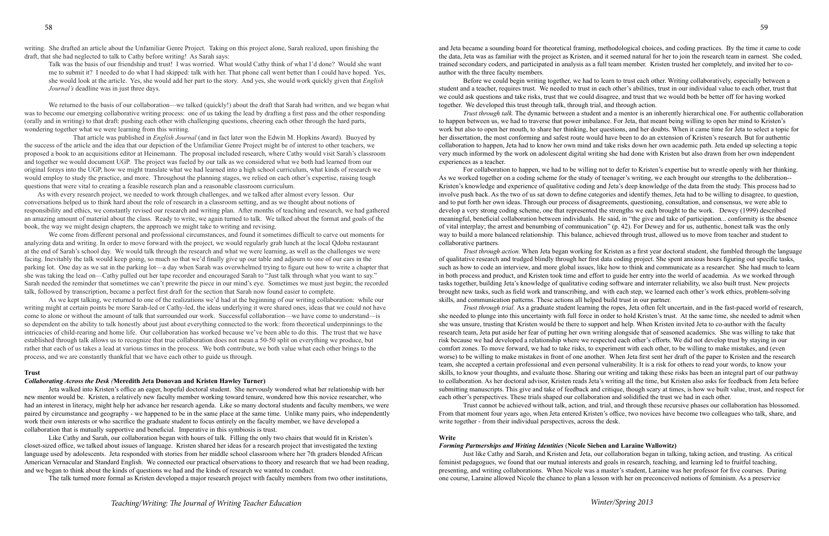Talk was the basis of our friendship and trust! I was worried. What would Cathy think of what I'd done? Would she want me to submit it? I needed to do what I had skipped: talk with her. That phone call went better than I could have hoped. Yes, she would look at the article. Yes, she would add her part to the story. And yes, she would work quickly given that *English Journal's* deadline was in just three days.

We returned to the basis of our collaboration—we talked (quickly!) about the draft that Sarah had written, and we began what was to become our emerging collaborative writing process: one of us taking the lead by drafting a first pass and the other responding (orally and in writing) to that draft: pushing each other with challenging questions, cheering each other through the hard parts, wondering together what we were learning from this writing.

 That article was published in *English Journal* (and in fact later won the Edwin M. Hopkins Award). Buoyed by the success of the article and the idea that our depiction of the Unfamiliar Genre Project might be of interest to other teachers, we proposed a book to an acquisitions editor at Heinemann. The proposal included research, where Cathy would visit Sarah's classroom and together we would document UGP. The project was fueled by our talk as we considered what we both had learned from our original forays into the UGP, how we might translate what we had learned into a high school curriculum, what kinds of research we would employ to study the practice, and more. Throughout the planning stages, we relied on each other's expertise, raising tough questions that were vital to creating a feasible research plan and a reasonable classroom curriculum.

 As with every research project, we needed to work through challenges, and we talked after almost every lesson. Our conversations helped us to think hard about the role of research in a classroom setting, and as we thought about notions of responsibility and ethics, we constantly revised our research and writing plan. After months of teaching and research, we had gathered an amazing amount of material about the class. Ready to write, we again turned to talk. We talked about the format and goals of the book, the way we might design chapters, the approach we might take to writing and revising.

We come from different personal and professional circumstances, and found it sometimes difficult to carve out moments for analyzing data and writing. In order to move forward with the project, we would regularly grab lunch at the local Qdoba restaurant at the end of Sarah's school day. We would talk through the research and what we were learning, as well as the challenges we were facing. Inevitably the talk would keep going, so much so that we'd finally give up our table and adjourn to one of our cars in the parking lot. One day as we sat in the parking lot—a day when Sarah was overwhelmed trying to figure out how to write a chapter that she was taking the lead on—Cathy pulled out her tape recorder and encouraged Sarah to "Just talk through what you want to say." Sarah needed the reminder that sometimes we can't prewrite the piece in our mind's eye. Sometimes we must just begin; the recorded talk, followed by transcription, became a perfect first draft for the section that Sarah now found easier to complete.

 As we kept talking, we returned to one of the realizations we'd had at the beginning of our writing collaboration: while our writing might at certain points be more Sarah-led or Cathy-led, the ideas underlying it were shared ones, ideas that we could not have come to alone or without the amount of talk that surrounded our work. Successful collaboration—we have come to understand—is so dependent on the ability to talk honestly about just about everything connected to the work: from theoretical underpinnings to the intricacies of child-rearing and home life. Our collaboration has worked because we've been able to do this. The trust that we have established through talk allows us to recognize that true collaboration does not mean a 50-50 split on everything we produce, but rather that each of us takes a lead at various times in the process. We both contribute, we both value what each other brings to the process, and we are constantly thankful that we have each other to guide us through.

#### **Trust**

#### *Collaborating Across the Desk (***Meredith Jeta Donovan and Kristen Hawley Turner)**

Jeta walked into Kristen's office an eager, hopeful doctoral student. She nervously wondered what her relationship with her new mentor would be. Kristen, a relatively new faculty member working toward tenure, wondered how this novice researcher, who had an interest in literacy, might help her advance her research agenda. Like so many doctoral students and faculty members, we were paired by circumstance and geography - we happened to be in the same place at the same time. Unlike many pairs, who independently work their own interests or who sacrifice the graduate student to focus entirely on the faculty member, we have developed a collaboration that is mutually supportive and beneficial. Imperative in this symbiosis is trust.

Like Cathy and Sarah, our collaboration began with hours of talk. Filling the only two chairs that would fit in Kristen's closet-sized office, we talked about issues of language. Kristen shared her ideas for a research project that investigated the texting language used by adolescents. Jeta responded with stories from her middle school classroom where her 7th graders blended African American Vernacular and Standard English. We connected our practical observations to theory and research that we had been reading, and we began to think about the kinds of questions we had and the kinds of research we wanted to conduct.

The talk turned more formal as Kristen developed a major research project with faculty members from two other institutions,

and Jeta became a sounding board for theoretical framing, methodological choices, and coding practices. By the time it came to code the data, Jeta was as familiar with the project as Kristen, and it seemed natural for her to join the research team in earnest. She coded, trained secondary coders, and participated in analysis as a full team member. Kristen trusted her completely, and invited her to coauthor with the three faculty members.

Before we could begin writing together, we had to learn to trust each other. Writing collaboratively, especially between a student and a teacher, requires trust. We needed to trust in each other's abilities, trust in our individual value to each other, trust that we could ask questions and take risks, trust that we could disagree, and trust that we would both be better off for having worked together. We developed this trust through talk, through trial, and through action.

*Trust through talk.* The dynamic between a student and a mentor is an inherently hierarchical one. For authentic collaboration to happen between us, we had to traverse that power imbalance. For Jeta, that meant being willing to open her mind to Kristen's work but also to open her mouth, to share her thinking, her questions, and her doubts. When it came time for Jeta to select a topic for her dissertation, the most conforming and safest route would have been to do an extension of Kristen's research. But for authentic collaboration to happen, Jeta had to know her own mind and take risks down her own academic path. Jeta ended up selecting a topic very much informed by the work on adolescent digital writing she had done with Kristen but also drawn from her own independent experiences as a teacher.

For collaboration to happen, we had to be willing not to defer to Kristen's expertise but to wrestle openly with her thinking. As we worked together on a coding scheme for the study of teenager's writing, we each brought our strengths to the deliberation-- Kristen's knowledge and experience of qualitative coding and Jeta's deep knowledge of the data from the study. This process had to involve push back. As the two of us sat down to define categories and identify themes, Jeta had to be willing to disagree, to question, and to put forth her own ideas. Through our process of disagreements, questioning, consultation, and consensus, we were able to develop a very strong coding scheme, one that represented the strengths we each brought to the work. Dewey (1999) described meaningful, beneficial collaboration between individuals. He said, in "the give and take of participation... conformity is the absence of vital interplay; the arrest and benumbing of communication" (p. 42). For Dewey and for us, authentic, honest talk was the only way to build a more balanced relationship. This balance, achieved through trust, allowed us to move from teacher and student to collaborative partners.

*Trust through action.* When Jeta began working for Kristen as a first year doctoral student, she fumbled through the language of qualitative research and trudged blindly through her first data coding project. She spent anxious hours figuring out specific tasks, such as how to code an interview, and more global issues, like how to think and communicate as a researcher. She had much to learn in both process and product, and Kristen took time and effort to guide her entry into the world of academia. As we worked through tasks together, building Jeta's knowledge of qualitative coding software and interrater reliability, we also built trust. New projects brought new tasks, such as field work and transcribing, and with each step, we learned each other's work ethics, problem-solving skills, and communication patterns. These actions all helped build trust in our partner.

*Trust through trial.* As a graduate student learning the ropes, Jeta often felt uncertain, and in the fast-paced world of research, she needed to plunge into this uncertainty with full force in order to hold Kristen's trust. At the same time, she needed to admit when she was unsure, trusting that Kristen would be there to support and help. When Kristen invited Jeta to co-author with the faculty research team, Jeta put aside her fear of putting her own writing alongside that of seasoned academics. She was willing to take that risk because we had developed a relationship where we respected each other's efforts. We did not develop trust by staying in our comfort zones. To move forward, we had to take risks, to experiment with each other, to be willing to make mistakes, and (even worse) to be willing to make mistakes in front of one another. When Jeta first sent her draft of the paper to Kristen and the research team, she accepted a certain professional and even personal vulnerability. It is a risk for others to read your words, to know your skills, to know your thoughts, and evaluate those. Sharing our writing and taking these risks has been an integral part of our pathway to collaboration. As her doctoral advisor, Kristen reads Jeta's writing all the time, but Kristen also asks for feedback from Jeta before submitting manuscripts. This give and take of feedback and critique, though scary at times, is how we built value, trust, and respect for each other's perspectives. These trials shaped our collaboration and solidified the trust we had in each other.

Trust cannot be achieved without talk, action, and trial, and through these recursive phases our collaboration has blossomed. From that moment four years ago, when Jeta entered Kristen's office, two novices have become two colleagues who talk, share, and write together - from their individual perspectives, across the desk.

#### **Write**

#### *Forming Partnerships and Writing Identities* (**Nicole Sieben and Laraine Wallowitz)**

Just like Cathy and Sarah, and Kristen and Jeta, our collaboration began in talking, taking action, and trusting. As critical feminist pedagogues, we found that our mutual interests and goals in research, teaching, and learning led to fruitful teaching, presenting, and writing collaborations. When Nicole was a master's student, Laraine was her professor for five courses. During one course, Laraine allowed Nicole the chance to plan a lesson with her on preconceived notions of feminism. As a preservice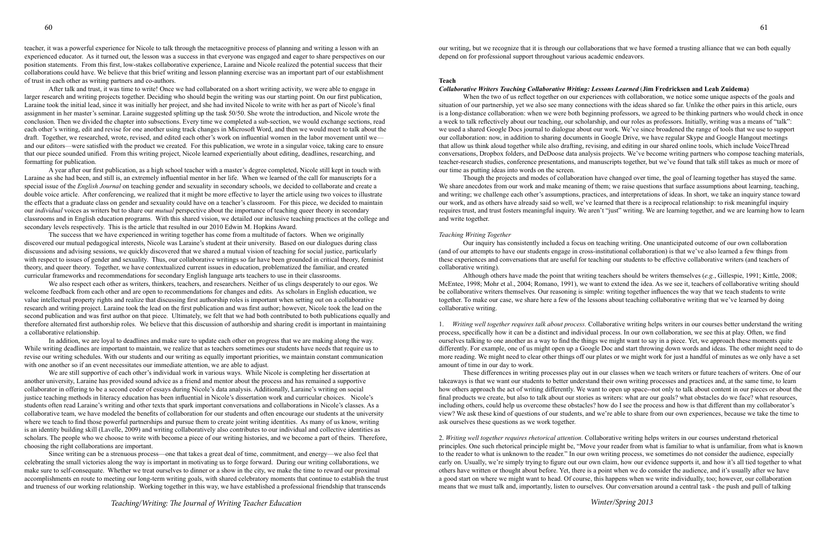teacher, it was a powerful experience for Nicole to talk through the metacognitive process of planning and writing a lesson with an experienced educator. As it turned out, the lesson was a success in that everyone was engaged and eager to share perspectives on our position statements. From this first, low-stakes collaborative experience, Laraine and Nicole realized the potential success that their collaborations could have. We believe that this brief writing and lesson planning exercise was an important part of our establishment of trust in each other as writing partners and co-authors.

After talk and trust, it was time to write! Once we had collaborated on a short writing activity, we were able to engage in larger research and writing projects together. Deciding who should begin the writing was our starting point. On our first publication, Laraine took the initial lead, since it was initially her project, and she had invited Nicole to write with her as part of Nicole's final assignment in her master's seminar. Laraine suggested splitting up the task 50/50. She wrote the introduction, and Nicole wrote the conclusion. Then we divided the chapter into subsections. Every time we completed a sub-section, we would exchange sections, read each other's writing, edit and revise for one another using track changes in Microsoft Word, and then we would meet to talk about the draft. Together, we researched, wrote, revised, and edited each other's work on influential women in the labor movement until we and our editors—were satisfied with the product we created. For this publication, we wrote in a singular voice, taking care to ensure that our piece sounded unified. From this writing project, Nicole learned experientially about editing, deadlines, researching, and formatting for publication.

A year after our first publication, as a high school teacher with a master's degree completed, Nicole still kept in touch with Laraine as she had been, and still is, an extremely influential mentor in her life. When we learned of the call for manuscripts for a special issue of the *English Journal* on teaching gender and sexuality in secondary schools, we decided to collaborate and create a double voice article. After conferencing, we realized that it might be more effective to layer the article using two voices to illustrate the effects that a graduate class on gender and sexuality could have on a teacher's classroom. For this piece, we decided to maintain our *individual* voices as writers but to share our *mutual* perspective about the importance of teaching queer theory in secondary classrooms and in English education programs. With this shared vision, we detailed our inclusive teaching practices at the college and secondary levels respectively. This is the article that resulted in our 2010 Edwin M. Hopkins Award.

The success that we have experienced in writing together has come from a multitude of factors. When we originally discovered our mutual pedagogical interests, Nicole was Laraine's student at their university. Based on our dialogues during class discussions and advising sessions, we quickly discovered that we shared a mutual vision of teaching for social justice, particularly with respect to issues of gender and sexuality. Thus, our collaborative writings so far have been grounded in critical theory, feminist theory, and queer theory. Together, we have contextualized current issues in education, problematized the familiar, and created curricular frameworks and recommendations for secondary English language arts teachers to use in their classrooms.

We also respect each other as writers, thinkers, teachers, and researchers. Neither of us clings desperately to our egos. We welcome feedback from each other and are open to recommendations for changes and edits. As scholars in English education, we value intellectual property rights and realize that discussing first authorship roles is important when setting out on a collaborative research and writing project. Laraine took the lead on the first publication and was first author; however, Nicole took the lead on the second publication and was first author on that piece. Ultimately, we felt that we had both contributed to both publications equally and therefore alternated first authorship roles. We believe that this discussion of authorship and sharing credit is important in maintaining a collaborative relationship.

In addition, we are loyal to deadlines and make sure to update each other on progress that we are making along the way. While writing deadlines are important to maintain, we realize that as teachers sometimes our students have needs that require us to revise our writing schedules. With our students and our writing as equally important priorities, we maintain constant communication with one another so if an event necessitates our immediate attention, we are able to adjust.

We are still supportive of each other's individual work in various ways. While Nicole is completing her dissertation at another university, Laraine has provided sound advice as a friend and mentor about the process and has remained a supportive collaborator in offering to be a second coder of essays during Nicole's data analysis. Additionally, Laraine's writing on social justice teaching methods in literacy education has been influential in Nicole's dissertation work and curricular choices. Nicole's students often read Laraine's writing and other texts that spark important conversations and collaborations in Nicole's classes. As a collaborative team, we have modeled the benefits of collaboration for our students and often encourage our students at the university where we teach to find those powerful partnerships and pursue them to create joint writing identities. As many of us know, writing is an identity building skill (Lavelle, 2009) and writing collaboratively also contributes to our individual and collective identities as scholars. The people who we choose to write with become a piece of our writing histories, and we become a part of theirs. Therefore, choosing the right collaborations are important.

Since writing can be a strenuous process—one that takes a great deal of time, commitment, and energy—we also feel that celebrating the small victories along the way is important in motivating us to forge forward. During our writing collaborations, we make sure to self-consequate. Whether we treat ourselves to dinner or a show in the city, we make the time to reward our proximal accomplishments en route to meeting our long-term writing goals, with shared celebratory moments that continue to establish the trust and trueness of our working relationship. Working together in this way, we have established a professional friendship that transcends

our writing, but we recognize that it is through our collaborations that we have formed a trusting alliance that we can both equally depend on for professional support throughout various academic endeavors.

#### **Teach**

#### *Collaborative Writers Teaching Collaborative Writing: Lessons Learned* (**Jim Fredricksen and Leah Zuidema)**

When the two of us reflect together on our experiences with collaboration, we notice some unique aspects of the goals and situation of our partnership, yet we also see many connections with the ideas shared so far. Unlike the other pairs in this article, ours is a long-distance collaboration: when we were both beginning professors, we agreed to be thinking partners who would check in once a week to talk reflectively about our teaching, our scholarship, and our roles as professors. Initially, writing was a means of "talk": we used a shared Google Docs journal to dialogue about our work. We've since broadened the range of tools that we use to support our collaboration: now, in addition to sharing documents in Google Drive, we have regular Skype and Google Hangout meetings that allow us think aloud together while also drafting, revising, and editing in our shared online tools, which include VoiceThread conversations, Dropbox folders, and DeDoose data analysis projects. We've become writing partners who compose teaching materials, teacher-research studies, conference presentations, and manuscripts together, but we've found that talk still takes as much or more of our time as putting ideas into words on the screen.

Though the projects and modes of collaboration have changed over time, the goal of learning together has stayed the same. We share anecdotes from our work and make meaning of them; we raise questions that surface assumptions about learning, teaching, and writing; we challenge each other's assumptions, practices, and interpretations of ideas. In short, we take an inquiry stance toward our work, and as others have already said so well, we've learned that there is a reciprocal relationship: to risk meaningful inquiry requires trust, and trust fosters meaningful inquiry. We aren't "just" writing. We are learning together, and we are learning how to learn and write together.

#### *Teaching Writing Together*

Our inquiry has consistently included a focus on teaching writing. One unanticipated outcome of our own collaboration (and of our attempts to have our students engage in cross-institutional collaboration) is that we've also learned a few things from these experiences and conversations that are useful for teaching our students to be effective collaborative writers (and teachers of collaborative writing).

 Although others have made the point that writing teachers should be writers themselves (*e.g.*, Gillespie, 1991; Kittle, 2008; McEntee, 1998; Mohr et al., 2004; Romano, 1991), we want to extend the idea. As we see it, teachers of collaborative writing should be collaborative writers themselves. Our reasoning is simple: writing together influences the way that we teach students to write together. To make our case, we share here a few of the lessons about teaching collaborative writing that we've learned by doing collaborative writing.

1. *Writing well together requires talk about process.* Collaborative writing helps writers in our courses better understand the writing process, specifically how it can be a distinct and individual process. In our own collaboration, we see this at play. Often, we find ourselves talking to one another as a way to find the things we might want to say in a piece. Yet, we approach these moments quite differently. For example, one of us might open up a Google Doc and start throwing down words and ideas. The other might need to do more reading. We might need to clear other things off our plates or we might work for just a handful of minutes as we only have a set amount of time in our day to work.

These differences in writing processes play out in our classes when we teach writers or future teachers of writers. One of our takeaways is that we want our students to better understand their own writing processes and practices and, at the same time, to learn how others approach the act of writing differently. We want to open up space--not only to talk about content in our pieces or about the final products we create, but also to talk about our stories as writers: what are our goals? what obstacles do we face? what resources, including others, could help us overcome these obstacles? how do I see the process and how is that different than my collaborator's view? We ask these kind of questions of our students, and we're able to share from our own experiences, because we take the time to ask ourselves these questions as we work together.

2. *Writing well together requires rhetorical attention.* Collaborative writing helps writers in our courses understand rhetorical principles. One such rhetorical principle might be, "Move your reader from what is familiar to what is unfamiliar, from what is known to the reader to what is unknown to the reader." In our own writing process, we sometimes do not consider the audience, especially early on. Usually, we're simply trying to figure out our own claim, how our evidence supports it, and how it's all tied together to what others have written or thought about before. Yet, there is a point when we do consider the audience, and it's usually after we have a good start on where we might want to head. Of course, this happens when we write individually, too; however, our collaboration means that we must talk and, importantly, listen to ourselves. Our conversation around a central task - the push and pull of talking